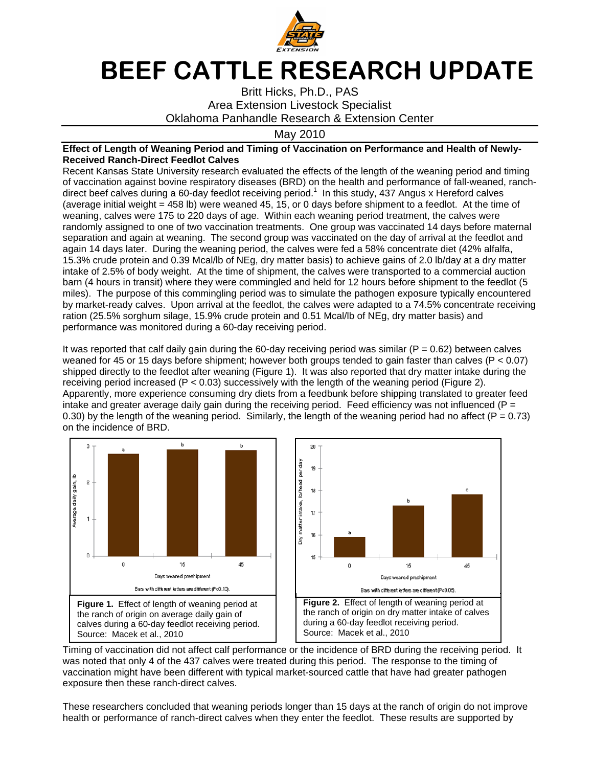

## BEEF CATTLE RESEARCH UPDATE

Britt Hicks, Ph.D., PAS Area Extension Livestock Specialist Oklahoma Panhandle Research & Extension Center

May 2010

## **Effect of Length of Weaning Period and Timing of Vaccination on Performance and Health of Newly-Received Ranch-Direct Feedlot Calves**

Recent Kansas State University research evaluated the effects of the length of the weaning period and timing of vaccination against bovine respiratory diseases (BRD) on the health and performance of fall-weaned, ranchdirect beef calves during a 60-day feedlot receiving period.<sup>1</sup> In this study, 437 Angus x Hereford calves (average initial weight = 458 lb) were weaned 45, 15, or 0 days before shipment to a feedlot. At the time of weaning, calves were 175 to 220 days of age. Within each weaning period treatment, the calves were randomly assigned to one of two vaccination treatments. One group was vaccinated 14 days before maternal separation and again at weaning. The second group was vaccinated on the day of arrival at the feedlot and again 14 days later. During the weaning period, the calves were fed a 58% concentrate diet (42% alfalfa, 15.3% crude protein and 0.39 Mcal/lb of NEg, dry matter basis) to achieve gains of 2.0 lb/day at a dry matter intake of 2.5% of body weight. At the time of shipment, the calves were transported to a commercial auction barn (4 hours in transit) where they were commingled and held for 12 hours before shipment to the feedlot (5 miles). The purpose of this commingling period was to simulate the pathogen exposure typically encountered by market-ready calves. Upon arrival at the feedlot, the calves were adapted to a 74.5% concentrate receiving ration (25.5% sorghum silage, 15.9% crude protein and 0.51 Mcal/lb of NEg, dry matter basis) and performance was monitored during a 60-day receiving period.

It was reported that calf daily gain during the 60-day receiving period was similar ( $P = 0.62$ ) between calves weaned for 45 or 15 days before shipment; however both groups tended to gain faster than calves ( $P < 0.07$ ) shipped directly to the feedlot after weaning (Figure 1). It was also reported that dry matter intake during the receiving period increased ( $P < 0.03$ ) successively with the length of the weaning period (Figure 2). Apparently, more experience consuming dry diets from a feedbunk before shipping translated to greater feed intake and greater average daily gain during the receiving period. Feed efficiency was not influenced ( $P =$ 0.30) by the length of the weaning period. Similarly, the length of the weaning period had no affect ( $P = 0.73$ ) on the incidence of BRD.





Timing of vaccination did not affect calf performance or the incidence of BRD during the receiving period. It was noted that only 4 of the 437 calves were treated during this period. The response to the timing of vaccination might have been different with typical market-sourced cattle that have had greater pathogen exposure then these ranch-direct calves.

These researchers concluded that weaning periods longer than 15 days at the ranch of origin do not improve health or performance of ranch-direct calves when they enter the feedlot. These results are supported by